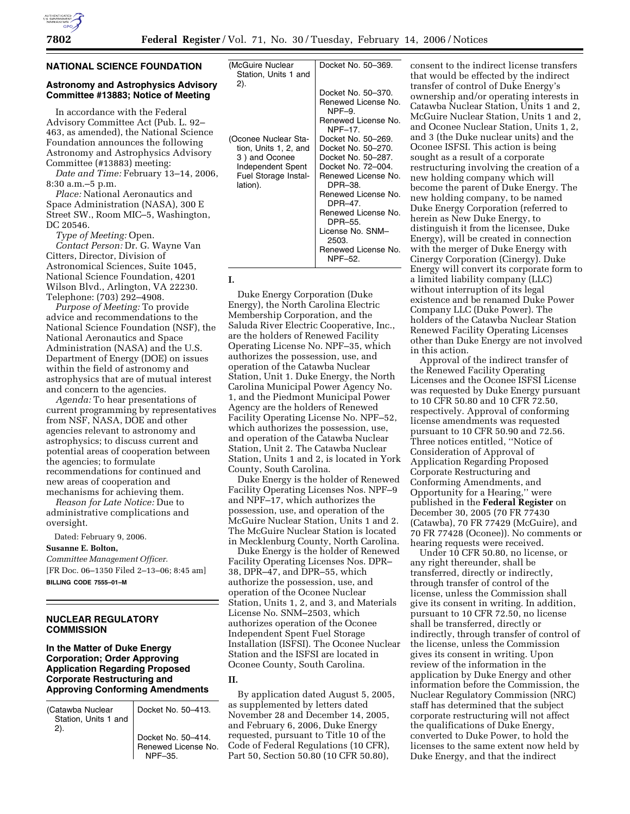## **NATIONAL SCIENCE FOUNDATION**

## **Astronomy and Astrophysics Advisory Committee #13883; Notice of Meeting**

In accordance with the Federal Advisory Committee Act (Pub. L. 92– 463, as amended), the National Science Foundation announces the following Astronomy and Astrophysics Advisory Committee (#13883) meeting:

*Date and Time:* February 13–14, 2006, 8:30 a.m.–5 p.m.

*Place:* National Aeronautics and Space Administration (NASA), 300 E Street SW., Room MIC–5, Washington, DC 20546.

*Type of Meeting:* Open.

*Contact Person:* Dr. G. Wayne Van Citters, Director, Division of Astronomical Sciences, Suite 1045, National Science Foundation, 4201 Wilson Blvd., Arlington, VA 22230. Telephone: (703) 292–4908.

*Purpose of Meeting:* To provide advice and recommendations to the National Science Foundation (NSF), the National Aeronautics and Space Administration (NASA) and the U.S. Department of Energy (DOE) on issues within the field of astronomy and astrophysics that are of mutual interest and concern to the agencies.

*Agenda:* To hear presentations of current programming by representatives from NSF, NASA, DOE and other agencies relevant to astronomy and astrophysics; to discuss current and potential areas of cooperation between the agencies; to formulate recommendations for continued and new areas of cooperation and mechanisms for achieving them.

*Reason for Late Notice:* Due to administrative complications and oversight.

Dated: February 9, 2006.

### **Susanne E. Bolton,**

*Committee Management Officer.*  [FR Doc. 06–1350 Filed 2–13–06; 8:45 am] **BILLING CODE 7555–01–M** 

## **NUCLEAR REGULATORY COMMISSION**

## **In the Matter of Duke Energy Corporation; Order Approving Application Regarding Proposed Corporate Restructuring and Approving Conforming Amendments**

| (Catawba Nuclear<br>Station, Units 1 and  <br>2). | Docket No. 50-413.                        |
|---------------------------------------------------|-------------------------------------------|
|                                                   | Docket No. 50-414.<br>Renewed License No. |

Renewed License No. | NPF-35.

| (McGuire Nuclear<br>Station, Units 1 and | Docket No. 50-369.                    |
|------------------------------------------|---------------------------------------|
| 2).                                      |                                       |
|                                          | Docket No. 50-370.                    |
|                                          | Renewed License No.<br>$NPF-9.$       |
|                                          | Renewed License No.<br><b>NPF-17.</b> |
| (Oconee Nuclear Sta-                     | Docket No. 50-269.                    |
| tion, Units 1, 2, and                    | Docket No. 50-270.                    |
| 3) and Oconee                            | Docket No. 50-287.                    |
| Independent Spent                        | Docket No. 72-004.                    |
| Fuel Storage Instal-<br>lation).         | Renewed License No.<br>DPR-38.        |
|                                          | Renewed License No.<br>DPR-47.        |
|                                          | Renewed License No.<br>DPR-55.        |
|                                          | License No. SNM-<br>2503.             |
|                                          | Renewed License No.<br>NPF-52.        |

**I.** 

Duke Energy Corporation (Duke Energy), the North Carolina Electric Membership Corporation, and the Saluda River Electric Cooperative, Inc., are the holders of Renewed Facility Operating License No. NPF–35, which authorizes the possession, use, and operation of the Catawba Nuclear Station, Unit 1. Duke Energy, the North Carolina Municipal Power Agency No. 1, and the Piedmont Municipal Power Agency are the holders of Renewed Facility Operating License No. NPF–52, which authorizes the possession, use, and operation of the Catawba Nuclear Station, Unit 2. The Catawba Nuclear Station, Units 1 and 2, is located in York County, South Carolina.

Duke Energy is the holder of Renewed Facility Operating Licenses Nos. NPF–9 and NPF–17, which authorizes the possession, use, and operation of the McGuire Nuclear Station, Units 1 and 2. The McGuire Nuclear Station is located in Mecklenburg County, North Carolina.

Duke Energy is the holder of Renewed Facility Operating Licenses Nos. DPR– 38, DPR–47, and DPR–55, which authorize the possession, use, and operation of the Oconee Nuclear Station, Units 1, 2, and 3, and Materials License No. SNM–2503, which authorizes operation of the Oconee Independent Spent Fuel Storage Installation (ISFSI). The Oconee Nuclear Station and the ISFSI are located in Oconee County, South Carolina.

## **II.**

By application dated August 5, 2005, as supplemented by letters dated November 28 and December 14, 2005, and February 6, 2006, Duke Energy requested, pursuant to Title 10 of the Code of Federal Regulations (10 CFR), Part 50, Section 50.80 (10 CFR 50.80),

consent to the indirect license transfers that would be effected by the indirect transfer of control of Duke Energy's ownership and/or operating interests in Catawba Nuclear Station, Units 1 and 2, McGuire Nuclear Station, Units 1 and 2, and Oconee Nuclear Station, Units 1, 2, and 3 (the Duke nuclear units) and the Oconee ISFSI. This action is being sought as a result of a corporate restructuring involving the creation of a new holding company which will become the parent of Duke Energy. The new holding company, to be named Duke Energy Corporation (referred to herein as New Duke Energy, to distinguish it from the licensee, Duke Energy), will be created in connection with the merger of Duke Energy with Cinergy Corporation (Cinergy). Duke Energy will convert its corporate form to a limited liability company (LLC) without interruption of its legal existence and be renamed Duke Power Company LLC (Duke Power). The holders of the Catawba Nuclear Station Renewed Facility Operating Licenses other than Duke Energy are not involved in this action.

Approval of the indirect transfer of the Renewed Facility Operating Licenses and the Oconee ISFSI License was requested by Duke Energy pursuant to 10 CFR 50.80 and 10 CFR 72.50, respectively. Approval of conforming license amendments was requested pursuant to 10 CFR 50.90 and 72.56. Three notices entitled, ''Notice of Consideration of Approval of Application Regarding Proposed Corporate Restructuring and Conforming Amendments, and Opportunity for a Hearing,'' were published in the **Federal Register** on December 30, 2005 (70 FR 77430 (Catawba), 70 FR 77429 (McGuire), and 70 FR 77428 (Oconee)). No comments or hearing requests were received.

Under 10 CFR 50.80, no license, or any right thereunder, shall be transferred, directly or indirectly, through transfer of control of the license, unless the Commission shall give its consent in writing. In addition, pursuant to 10 CFR 72.50, no license shall be transferred, directly or indirectly, through transfer of control of the license, unless the Commission gives its consent in writing. Upon review of the information in the application by Duke Energy and other information before the Commission, the Nuclear Regulatory Commission (NRC) staff has determined that the subject corporate restructuring will not affect the qualifications of Duke Energy, converted to Duke Power, to hold the licenses to the same extent now held by Duke Energy, and that the indirect